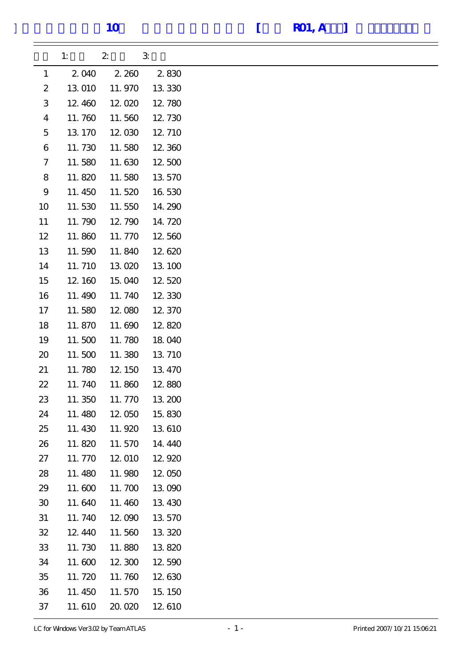|                           | 1:      | $\boldsymbol{z}$ | $\mathfrak{B}$ |
|---------------------------|---------|------------------|----------------|
| $\mathbf{1}$              | 2 040   | 2 260            | 2830           |
| $\boldsymbol{2}$          | 13 010  | 11.970           | 13 330         |
| $\ensuremath{\mathbf{3}}$ | 12,460  | 12.020           | 12.780         |
| $\boldsymbol{4}$          | 11.760  | 11.560           | 12.730         |
| $\mathbf 5$               | 13 170  | 12.030           | 12, 710        |
| 6                         | 11.730  | 11.580           | 12.360         |
| $\mathcal I$              | 11.580  | 11.630           | 12.500         |
| 8                         | 11.820  | 11.580           | 13 570         |
| $\boldsymbol{9}$          | 11.450  | 11.520           | 16 530         |
| 10                        | 11.530  | 11.550           | 14.290         |
| 11                        | 11.790  | 12.790           | 14.720         |
| 12                        | 11.860  | 11.770           | 12.560         |
| 13                        | 11.590  | 11.840           | 12.620         |
| 14                        | 11.710  | 13 020           | 13 100         |
| 15                        | 12 160  | 15.040           | 12.520         |
| 16                        | 11.490  | 11.740           | 12 330         |
| 17                        | 11.580  | 12.080           | 12.370         |
| 18                        | 11.870  | 11.690           | 12.820         |
| 19                        | 11.500  | 11.780           | 18 040         |
| 20                        | 11.500  | 11.380           | 13 710         |
| 21                        | 11.780  | 12, 150          | 13 470         |
| 22                        | 11.740  | 11.860           | 12.880         |
| 23                        | 11.350  | 11.770           | 13 200         |
| 24                        | 11.480  | 12.050           | 15,830         |
| 25                        | 11.430  | 11.920           | 13 610         |
| 26                        | 11.820  | 11.570           | 14.440         |
| 27                        | 11.770  | 12 010           | 12.920         |
| 28                        | 11.480  | 11.980           | 12.050         |
| 29                        | 11.600  | 11.700           | 13 090         |
| 30                        | 11.640  | 11.460           | 13 430         |
| 31                        | 11.740  | 12.090           | 13 570         |
| 32                        | 12, 440 | 11.560           | 13 320         |
| 33                        | 11.730  | 11.880           | 13 820         |
| 34                        | 11.600  | 12.300           | 12.590         |
| 35                        | 11.720  | 11.760           | 12.630         |
| 36                        | 11.450  | 11.570           | 15.150         |
| 37                        | 11.610  | 20,020           | 12 610         |